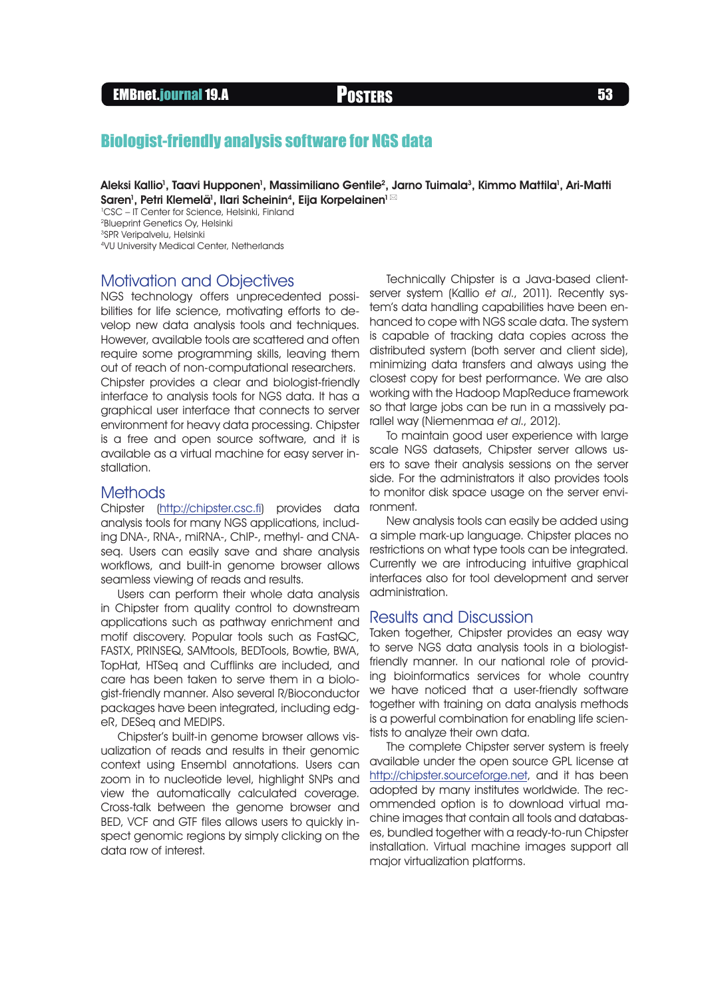#### EMBnet.journal 19.A **Posters Following Construction** 53

## Biologist-friendly analysis software for NGS data

Aleksi Kallio<sup>1</sup>, Taavi Hupponen<sup>1</sup>, Massimiliano Gentile<sup>2</sup>, Jarno Tuimala<sup>3</sup>, Kimmo Mattila<sup>1</sup>, Ari-Matti Saren<sup>1</sup>, Petri Klemelä<sup>1</sup>, Ilari Scheinin<sup>4</sup>, Eija Korpelainen<sup>1 ⊠</sup>

1 CSC – IT Center for Science, Helsinki, Finland 2Blueprint Genetics Oy, Helsinki 3SPR Veripalvelu, Helsinki 4VU University Medical Center, Netherlands

#### Motivation and Objectives

NGS technology offers unprecedented possibilities for life science, motivating efforts to develop new data analysis tools and techniques. However, available tools are scattered and often require some programming skills, leaving them out of reach of non-computational researchers. Chipster provides a clear and biologist-friendly interface to analysis tools for NGS data. It has a graphical user interface that connects to server environment for heavy data processing. Chipster is a free and open source software, and it is available as a virtual machine for easy server installation.

#### **Methods**

Chipster (<http://chipster.csc.fi>) provides data analysis tools for many NGS applications, including DNA-, RNA-, miRNA-, ChIP-, methyl- and CNAseq. Users can easily save and share analysis workflows, and built-in genome browser allows seamless viewing of reads and results.

Users can perform their whole data analysis in Chipster from quality control to downstream applications such as pathway enrichment and motif discovery. Popular tools such as FastQC, FASTX, PRINSEQ, SAMtools, BEDTools, Bowtie, BWA, TopHat, HTSeq and Cufflinks are included, and care has been taken to serve them in a biologist-friendly manner. Also several R/Bioconductor packages have been integrated, including edgeR, DESeq and MEDIPS.

Chipster's built-in genome browser allows visualization of reads and results in their genomic context using Ensembl annotations. Users can zoom in to nucleotide level, highlight SNPs and view the automatically calculated coverage. Cross-talk between the genome browser and BED, VCF and GTF files allows users to quickly inspect genomic regions by simply clicking on the data row of interest.

Technically Chipster is a Java-based clientserver system (Kallio et al., 2011). Recently system's data handling capabilities have been enhanced to cope with NGS scale data. The system is capable of tracking data copies across the distributed system (both server and client side), minimizing data transfers and always using the closest copy for best performance. We are also working with the Hadoop MapReduce framework so that large jobs can be run in a massively parallel way (Niemenmaa et al., 2012).

To maintain good user experience with large scale NGS datasets, Chipster server allows users to save their analysis sessions on the server side. For the administrators it also provides tools to monitor disk space usage on the server environment.

New analysis tools can easily be added using a simple mark-up language. Chipster places no restrictions on what type tools can be integrated. Currently we are introducing intuitive graphical interfaces also for tool development and server administration.

### Results and Discussion

Taken together, Chipster provides an easy way to serve NGS data analysis tools in a biologistfriendly manner. In our national role of providing bioinformatics services for whole country we have noticed that a user-friendly software together with training on data analysis methods is a powerful combination for enabling life scientists to analyze their own data.

The complete Chipster server system is freely available under the open source GPL license at [http://chipster.sourceforge.net,](http://chipster.sourceforge.net) and it has been adopted by many institutes worldwide. The recommended option is to download virtual machine images that contain all tools and databases, bundled together with a ready-to-run Chipster installation. Virtual machine images support all major virtualization platforms.